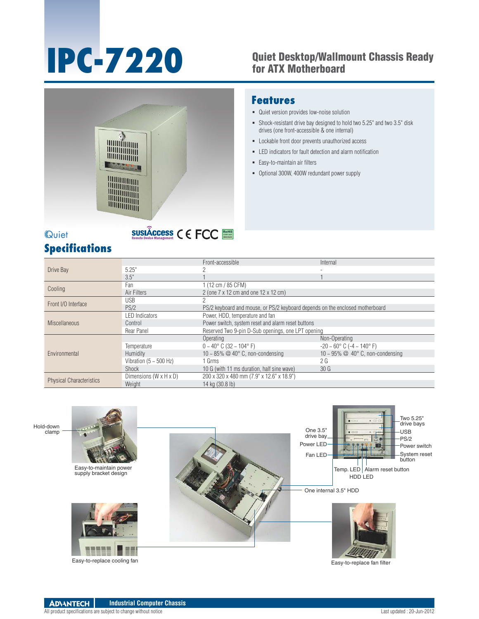# **IPC-7220** Quiet Desktop/Wallmount Chassis Ready<br>for ATX Motherboard for ATX Motherboard



#### **Features**

- Quiet version provides low-noise solution
- Shock-resistant drive bay designed to hold two 5.25" and two 3.5" disk drives (one front-accessible & one internal)
- Lockable front door prevents unauthorized access
- LED indicators for fault detection and alarm notification
- Easy-to-maintain air filters
- Optional 300W, 400W redundant power supply

# **Quiet**

# **Specifications**

|                                 |                                    | Front-accessible                                                              | Internal                                           |
|---------------------------------|------------------------------------|-------------------------------------------------------------------------------|----------------------------------------------------|
| Drive Bay                       | 5.25"                              | ŋ                                                                             |                                                    |
|                                 | 3.5"                               |                                                                               |                                                    |
| Cooling                         | Fan                                | 1 (12 cm / 85 CFM)                                                            |                                                    |
|                                 | Air Filters                        | 2 (one 7 x 12 cm and one 12 x 12 cm)                                          |                                                    |
| Front I/O Interface             | <b>USB</b>                         |                                                                               |                                                    |
|                                 | PS/2                               | PS/2 keyboard and mouse, or PS/2 keyboard depends on the enclosed motherboard |                                                    |
| <b>Miscellaneous</b>            | <b>LED Indicators</b>              | Power, HDD, temperature and fan                                               |                                                    |
|                                 | Control                            | Power switch, system reset and alarm reset buttons                            |                                                    |
|                                 | Rear Panel                         | Reserved Two 9-pin D-Sub openings, one LPT opening                            |                                                    |
| Environmental                   |                                    | Operating                                                                     | Non-Operating                                      |
|                                 | Temperature                        | $0 \sim 40^{\circ}$ C (32 $\sim 104^{\circ}$ F)                               | $-20 \sim 60^{\circ}$ C ( $-4 \sim 140^{\circ}$ F) |
|                                 | <b>Humidity</b>                    | 10 ~ 85% $@$ 40 $^{\circ}$ C, non-condensing                                  | 10 ~ 95% $\oslash$ 40° C, non-condensing           |
|                                 | Vibration ( $5 \sim 500$ Hz)       | 1 Grms                                                                        | 2 G                                                |
|                                 | Shock                              | 10 G (with 11 ms duration, half sine wave)                                    | 30 <sub>G</sub>                                    |
| <b>Physical Characteristics</b> | Dimensions $(W \times H \times D)$ | 200 x 320 x 480 mm (7.9" x 12.6" x 18.9")                                     |                                                    |
|                                 | Weight                             | 14 kg (30.8 lb)                                                               |                                                    |

RoHS **COMPLIANT 2002/95/EC**